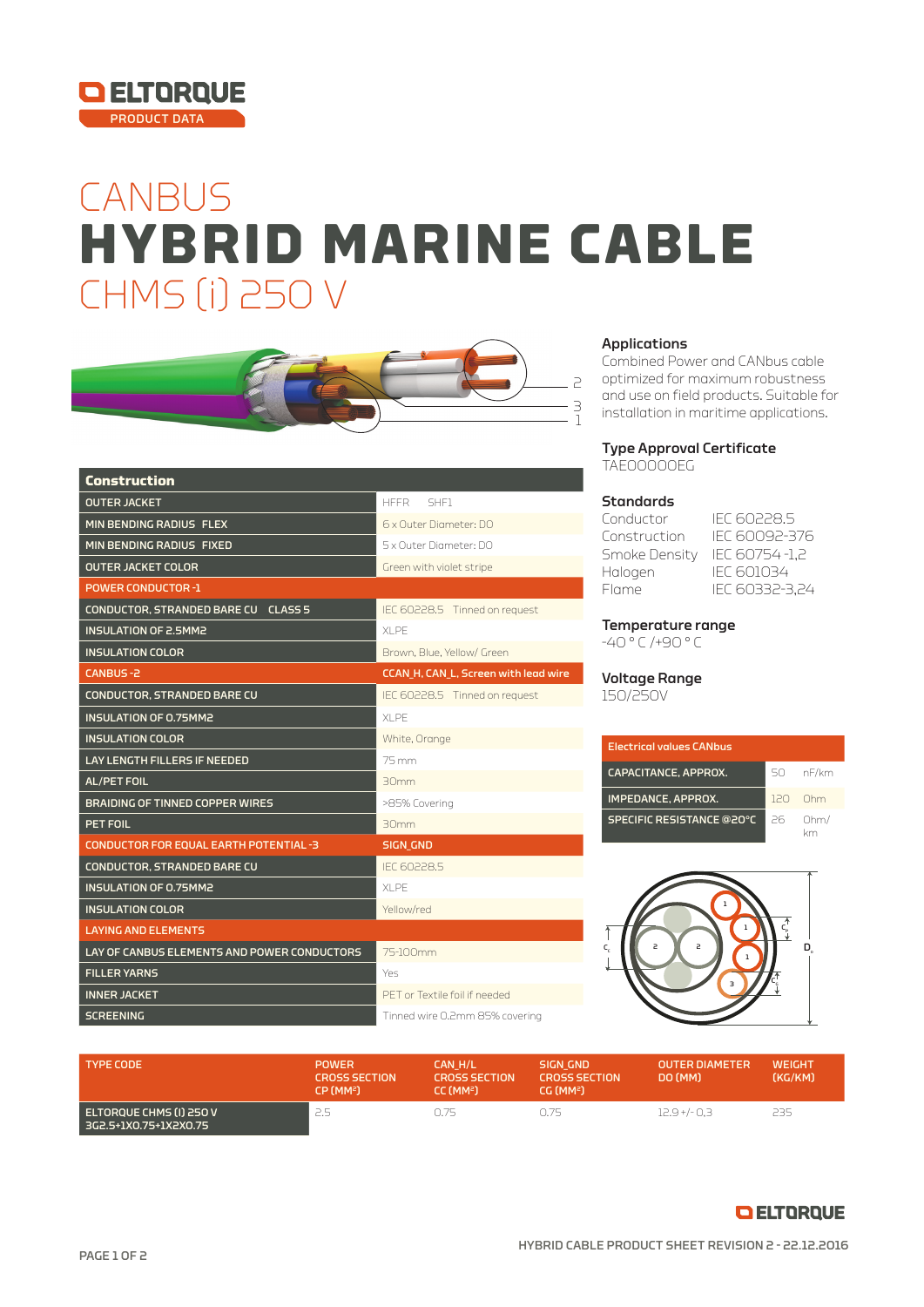

## **CANBUS** CHMS (i) 250 V **HYBRID MARINE CABLE**



| <b>Construction</b>                           |                                      |  |  |
|-----------------------------------------------|--------------------------------------|--|--|
| <b>OUTER JACKET</b>                           | <b>HFFR</b><br>SHE1                  |  |  |
| MIN BENDING RADIUS FLEX                       | 6 x Outer Diameter: DO               |  |  |
| MIN BENDING RADIUS FIXED                      | 5 x Outer Diameter: DO               |  |  |
| <b>OUTER JACKET COLOR</b>                     | Green with violet stripe             |  |  |
| <b>POWER CONDUCTOR -1</b>                     |                                      |  |  |
| CONDUCTOR, STRANDED BARE CU CLASS 5           | IEC 60228.5 Tinned on request        |  |  |
| <b>INSULATION OF 2.5MM2</b>                   | XI PF                                |  |  |
| <b>INSULATION COLOR</b>                       | Brown, Blue, Yellow/ Green           |  |  |
| CANBUS-2                                      | CCAN_H, CAN_L, Screen with lead wire |  |  |
| <b>CONDUCTOR, STRANDED BARE CU</b>            | IEC 60228.5 Tinned on request        |  |  |
| <b>INSULATION OF 0.75MM2</b>                  | <b>XLPE</b>                          |  |  |
| <b>INSULATION COLOR</b>                       | White, Orange                        |  |  |
| <b>LAY LENGTH FILLERS IF NEEDED</b>           | 75 mm                                |  |  |
| <b>AL/PET FOIL</b>                            | 30mm                                 |  |  |
| <b>BRAIDING OF TINNED COPPER WIRES</b>        | >85% Covering                        |  |  |
| PET FOIL                                      | 30mm                                 |  |  |
| <b>CONDUCTOR FOR EQUAL EARTH POTENTIAL -3</b> | <b>SIGN GND</b>                      |  |  |
| <b>CONDUCTOR, STRANDED BARE CU</b>            | <b>IFC 60228.5</b>                   |  |  |
| INSULATION OF 0.75MM2                         | XI PF                                |  |  |
| <b>INSULATION COLOR</b>                       | Yellow/red                           |  |  |
| <b>LAYING AND ELEMENTS</b>                    |                                      |  |  |
| LAY OF CANBUS ELEMENTS AND POWER CONDUCTORS   | 75-100mm                             |  |  |
| <b>FILLER YARNS</b>                           | Yes                                  |  |  |
| <b>INNER JACKET</b>                           | PFT or Textile foil if needed        |  |  |
| <b>SCREENING</b>                              | Tinned wire 0.2mm 85% covering       |  |  |

#### Applications

Combined Power and CANbus cable optimized for maximum robustness and use on field products. Suitable for installation in maritime applications.

#### Type Approval Certificate TAE00000EG

#### Standards

| Conductor     | IFC 60228.5    |
|---------------|----------------|
| Construction  | IFC 60092-376  |
| Smoke Density | IEC 60754-1,2  |
| Halogen       | IFC 601034     |
| Flame         | IEC 60332-3,24 |

#### Temperature range

-40 ° C /+90 ° C

### Voltage Range

150/250V

| <b>Electrical values CANbus</b> |     |           |  |
|---------------------------------|-----|-----------|--|
| CAPACITANCE, APPROX.            | 50. | nF/km     |  |
| IMPEDANCE, APPROX.              |     | $120$ Ohm |  |
| SPECIFIC RESISTANCE @20°C       | 26. | Ohm/      |  |



| <b>TYPE CODE</b>                                 | <b>POWER</b><br><b>CROSS SECTION</b><br>CP (MM <sup>2</sup> ) | CAN H/L<br><b>CROSS SECTION</b><br>CC (MM <sup>2</sup> ) | SIGN GND<br><b>CROSS SECTION</b><br>CG (MM <sup>2</sup> ) | <b>OUTER DIAMETER</b><br>DO (MM) | <b>WEIGHT</b><br>(KG/KM) |
|--------------------------------------------------|---------------------------------------------------------------|----------------------------------------------------------|-----------------------------------------------------------|----------------------------------|--------------------------|
| ELTOROUE CHMS (I) 250 V<br>3G2.5+1X0.75+1X2X0.75 | 2.5                                                           | 0.75                                                     | N 75                                                      | $12.9 + (-0.3)$                  | 235.                     |